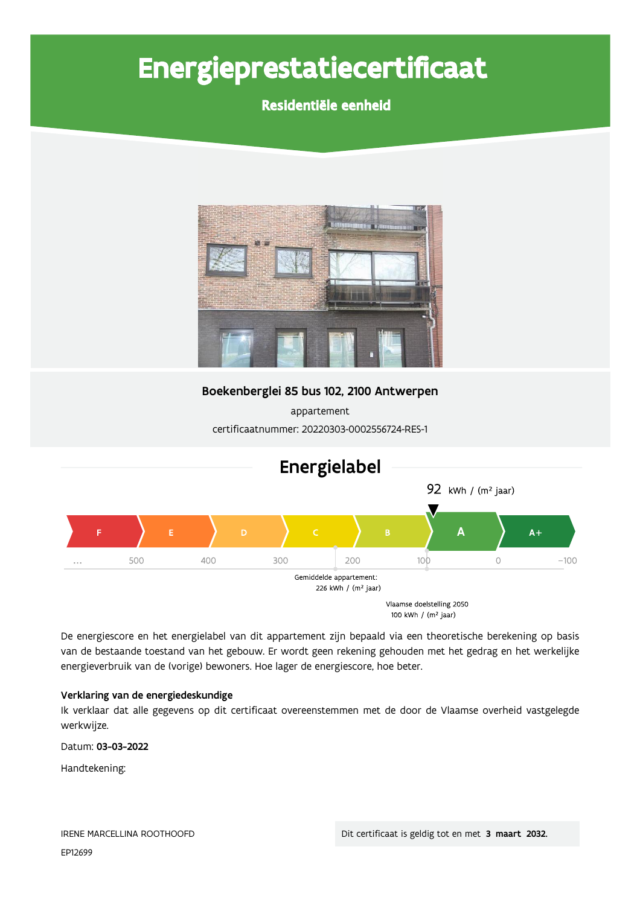# Energieprestatiecertificaat

## Residentiële eenheid



Boekenberglei 85 bus 102, 2100 Antwerpen

appartement certificaatnummer: 20220303-0002556724-RES-1



De energiescore en het energielabel van dit appartement zijn bepaald via een theoretische berekening op basis van de bestaande toestand van het gebouw. Er wordt geen rekening gehouden met het gedrag en het werkelijke energieverbruik van de (vorige) bewoners. Hoe lager de energiescore, hoe beter.

#### Verklaring van de energiedeskundige

Ik verklaar dat alle gegevens op dit certificaat overeenstemmen met de door de Vlaamse overheid vastgelegde werkwijze.

Datum: 03-03-2022

Handtekening: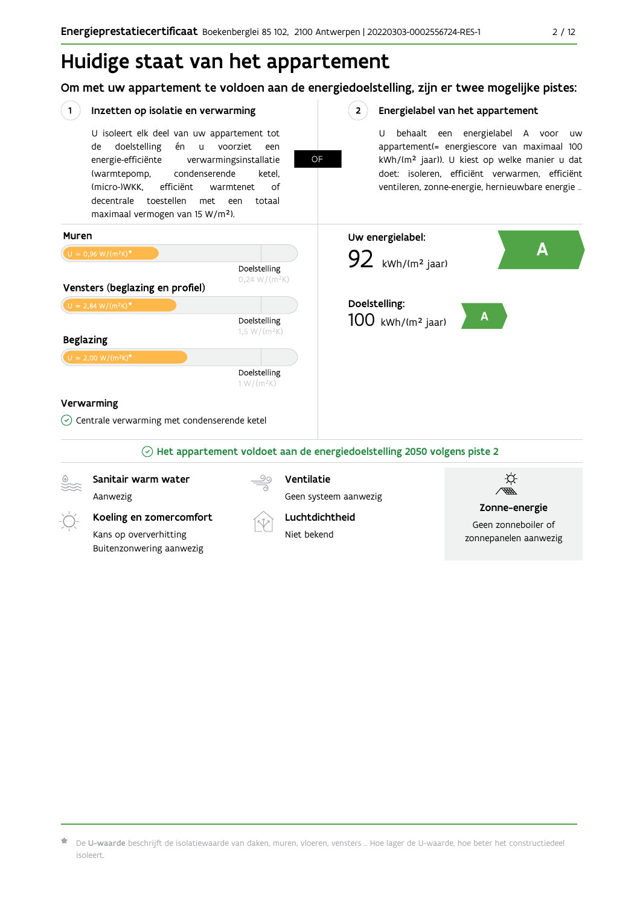Om met uw appartement te voldoen aan de energiedoelstelling, zijn er twee mogelijke pistes:



De U-waarde beschrijft de isolatiewaarde van daken, muren, vloeren, vensters ... Hoe lager de U-waarde, hoe beter het constructiedeel isoleert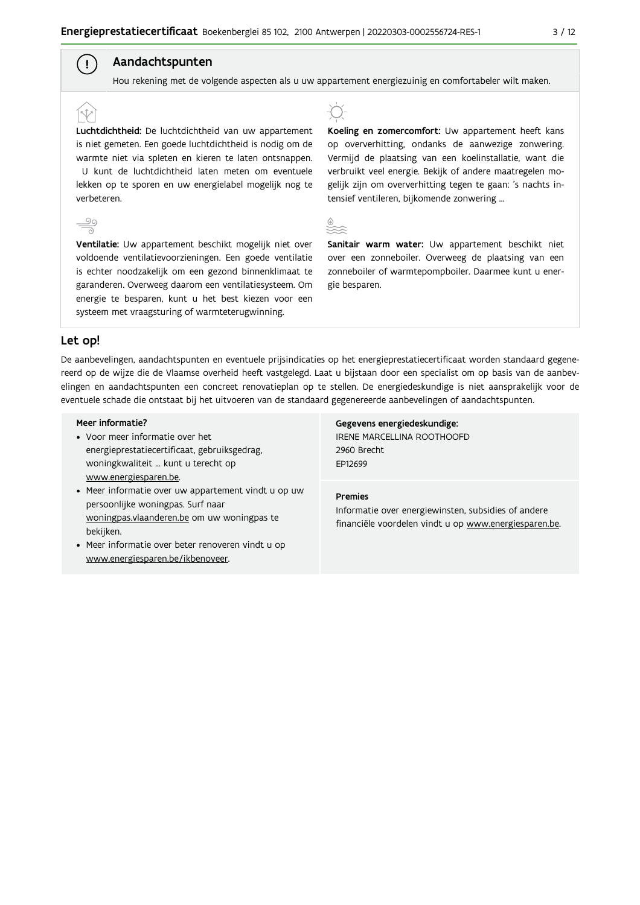## Aandachtspunten

Hou rekening met de volgende aspecten als u uw appartement energiezuinig en comfortabeler wilt maken.

Luchtdichtheid: De luchtdichtheid van uw appartement is niet gemeten. Een goede luchtdichtheid is nodig om de warmte niet via spleten en kieren te laten ontsnappen. U kunt de luchtdichtheid laten meten om eventuele lekken op te sporen en uw energielabel mogelijk nog te verbeteren.



 $\left( \begin{array}{c} 1 \end{array} \right)$ 

Ventilatie: Uw appartement beschikt mogelijk niet over voldoende ventilatievoorzieningen. Een goede ventilatie is echter noodzakelijk om een gezond binnenklimaat te garanderen. Overweeg daarom een ventilatiesysteem. Om energie te besparen, kunt u het best kiezen voor een systeem met vraagsturing of warmteterugwinning.



Koeling en zomercomfort: Uw appartement heeft kans op oververhitting, ondanks de aanwezige zonwering. Vermijd de plaatsing van een koelinstallatie, want die verbruikt veel energie. Bekijk of andere maatregelen mogelijk zijn om oververhitting tegen te gaan: 's nachts intensief ventileren, bijkomende zonwering ...



Sanitair warm water: Uw appartement beschikt niet over een zonneboiler. Overweeg de plaatsing van een zonneboiler of warmtepompboiler. Daarmee kunt u energie besparen.

#### Let op!

De aanbevelingen, aandachtspunten en eventuele prijsindicaties op het energieprestatiecertificaat worden standaard gegenereerd op de wijze die de Vlaamse overheid heeft vastgelegd. Laat u bijstaan door een specialist om op basis van de aanbevelingen en aandachtspunten een concreet renovatieplan op te stellen. De energiedeskundige is niet aansprakelijk voor de eventuele schade die ontstaat bij het uitvoeren van de standaard gegenereerde aanbevelingen of aandachtspunten.

#### Meer informatie?

- Voor meer informatie over het energieprestatiecertificaat, gebruiksgedrag, woningkwaliteit ... kunt u terecht op www.energiesparen.be.
- Meer informatie over uw appartement vindt u op uw persoonlijke woningpas. Surf naar woningpas.vlaanderen.be om uw woningpas te bekijken.
- Meer informatie over beter renoveren vindt u op www.energiesparen.be/ikbenoveer.

Gegevens energiedeskundige: IRENE MARCELLINA ROOTHOOFD 2960 Brecht EP12699

#### **Premies**

Informatie over energiewinsten, subsidies of andere financiële voordelen vindt u op www.energiesparen.be.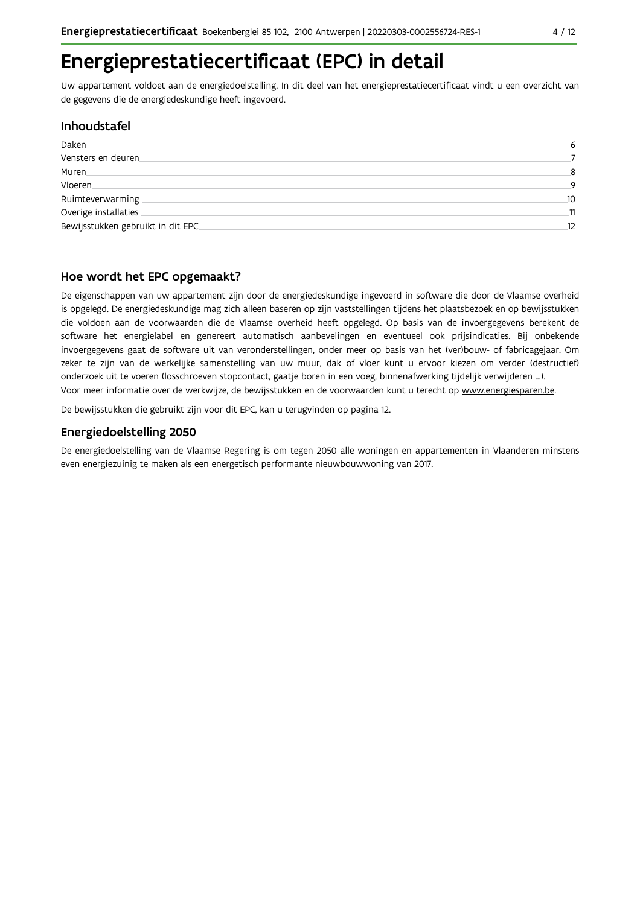Uw appartement voldoet aan de energiedoelstelling. In dit deel van het energieprestatiecertificaat vindt u een overzicht van de gegevens die de energiedeskundige heeft ingevoerd.

## **Inhoudstafel**

| Daken                             |    |
|-----------------------------------|----|
| Vensters en deuren                |    |
| Muren.                            | 8  |
| Vloeren                           | a  |
| Ruimteverwarming                  | 10 |
| Overige installaties              | 11 |
| Bewijsstukken gebruikt in dit EPC | 12 |
|                                   |    |

## Hoe wordt het EPC opgemaakt?

De eigenschappen van uw appartement zijn door de energiedeskundige ingevoerd in software die door de Vlaamse overheid is opgelegd. De energiedeskundige mag zich alleen baseren op zijn vaststellingen tijdens het plaatsbezoek en op bewijsstukken die voldoen aan de voorwaarden die de Vlaamse overheid heeft opgelegd. Op basis van de invoergegevens berekent de software het energielabel en genereert automatisch aanbevelingen en eventueel ook prijsindicaties. Bij onbekende invoergegevens gaat de software uit van veronderstellingen, onder meer op basis van het (ver)bouw- of fabricagejaar. Om zeker te zijn van de werkelijke samenstelling van uw muur, dak of vloer kunt u ervoor kiezen om verder (destructief) onderzoek uit te voeren (losschroeven stopcontact, gaatje boren in een voeg, binnenafwerking tijdelijk verwijderen ...). Voor meer informatie over de werkwijze, de bewijsstukken en de voorwaarden kunt u terecht op www.energiesparen.be.

De bewijsstukken die gebruikt zijn voor dit EPC, kan u terugvinden op pagina 12.

## **Energiedoelstelling 2050**

De energiedoelstelling van de Vlaamse Regering is om tegen 2050 alle woningen en appartementen in Vlaanderen minstens even energiezuinig te maken als een energetisch performante nieuwbouwwoning van 2017.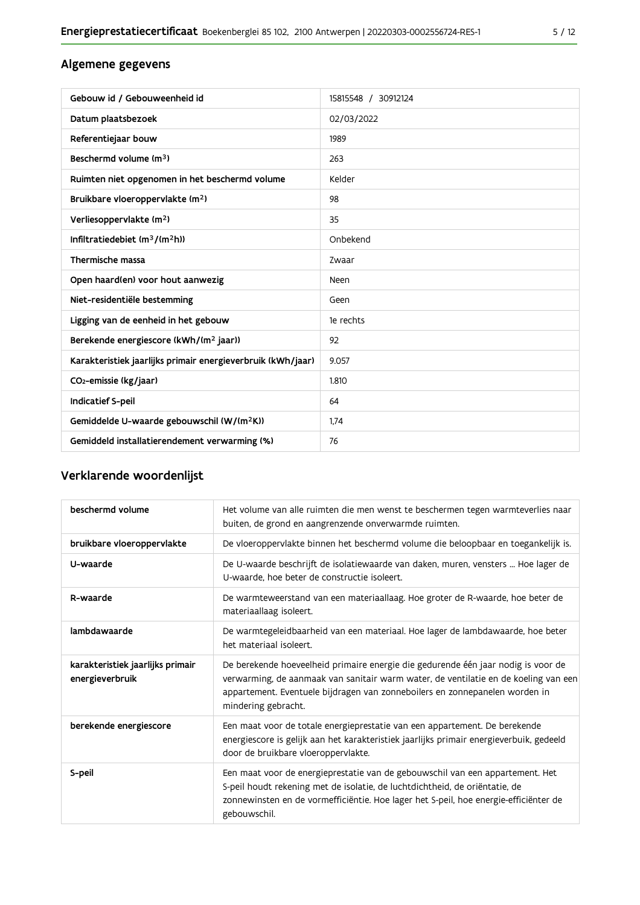## Algemene gegevens

| Gebouw id / Gebouweenheid id                                | 15815548 / 30912124 |
|-------------------------------------------------------------|---------------------|
| Datum plaatsbezoek                                          | 02/03/2022          |
| Referentiejaar bouw                                         | 1989                |
| Beschermd volume (m <sup>3</sup> )                          | 263                 |
| Ruimten niet opgenomen in het beschermd volume              | Kelder              |
| Bruikbare vloeroppervlakte (m <sup>2</sup> )                | 98                  |
| Verliesoppervlakte (m <sup>2</sup> )                        | 35                  |
| Infiltratiedebiet $(m^3/(m^2h))$                            | Onbekend            |
| Thermische massa                                            | Zwaar               |
| Open haard(en) voor hout aanwezig                           | Neen                |
| Niet-residentiële bestemming                                | Geen                |
| Ligging van de eenheid in het gebouw                        | 1e rechts           |
| Berekende energiescore (kWh/(m <sup>2</sup> jaar))          | 92                  |
| Karakteristiek jaarlijks primair energieverbruik (kWh/jaar) | 9.057               |
| CO <sub>2</sub> -emissie (kg/jaar)                          | 1.810               |
| Indicatief S-peil                                           | 64                  |
| Gemiddelde U-waarde gebouwschil (W/(m <sup>2</sup> K))      | 1,74                |
| Gemiddeld installatierendement verwarming (%)               | 76                  |

## Verklarende woordenlijst

| beschermd volume                                    | Het volume van alle ruimten die men wenst te beschermen tegen warmteverlies naar<br>buiten, de grond en aangrenzende onverwarmde ruimten.                                                                                                                                      |
|-----------------------------------------------------|--------------------------------------------------------------------------------------------------------------------------------------------------------------------------------------------------------------------------------------------------------------------------------|
| bruikbare vloeroppervlakte                          | De vloeroppervlakte binnen het beschermd volume die beloopbaar en toegankelijk is.                                                                                                                                                                                             |
| U-waarde                                            | De U-waarde beschrijft de isolatiewaarde van daken, muren, vensters  Hoe lager de<br>U-waarde, hoe beter de constructie isoleert.                                                                                                                                              |
| R-waarde                                            | De warmteweerstand van een materiaallaag. Hoe groter de R-waarde, hoe beter de<br>materiaallaag isoleert.                                                                                                                                                                      |
| lambdawaarde                                        | De warmtegeleidbaarheid van een materiaal. Hoe lager de lambdawaarde, hoe beter<br>het materiaal isoleert.                                                                                                                                                                     |
| karakteristiek jaarlijks primair<br>energieverbruik | De berekende hoeveelheid primaire energie die gedurende één jaar nodig is voor de<br>verwarming, de aanmaak van sanitair warm water, de ventilatie en de koeling van een<br>appartement. Eventuele bijdragen van zonneboilers en zonnepanelen worden in<br>mindering gebracht. |
| berekende energiescore                              | Een maat voor de totale energieprestatie van een appartement. De berekende<br>energiescore is gelijk aan het karakteristiek jaarlijks primair energieverbuik, gedeeld<br>door de bruikbare vloeroppervlakte.                                                                   |
| S-peil                                              | Een maat voor de energieprestatie van de gebouwschil van een appartement. Het<br>S-peil houdt rekening met de isolatie, de luchtdichtheid, de oriëntatie, de<br>zonnewinsten en de vormefficiëntie. Hoe lager het S-peil, hoe energie-efficiënter de<br>gebouwschil.           |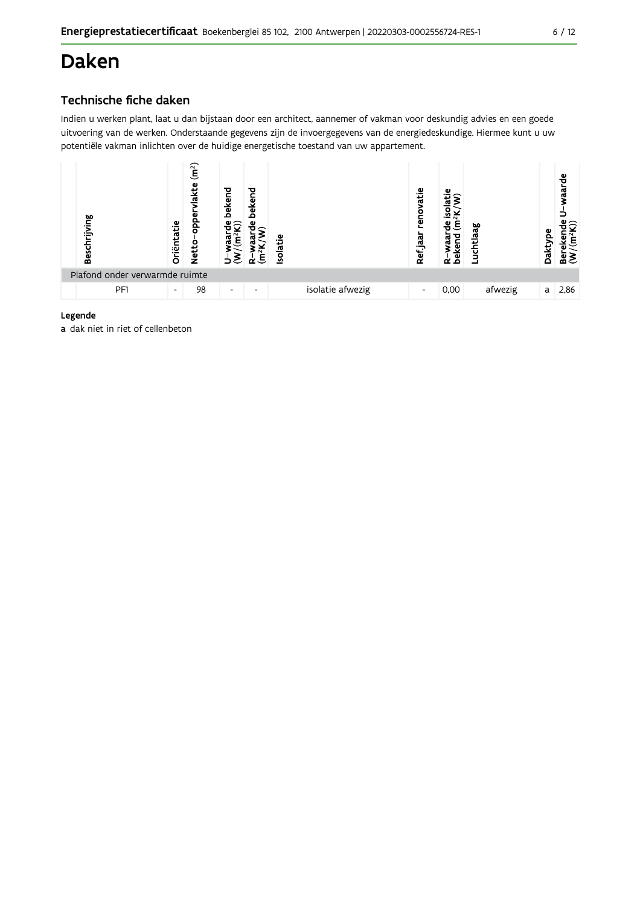## **Daken**

## Technische fiche daken

Indien u werken plant, laat u dan bijstaan door een architect, aannemer of vakman voor deskundig advies en een goede uitvoering van de werken. Onderstaande gegevens zijn de invoergegevens van de energiedeskundige. Hiermee kunt u uw potentiële vakman inlichten over de huidige energetische toestand van uw appartement.



#### Legende

a dak niet in riet of cellenbeton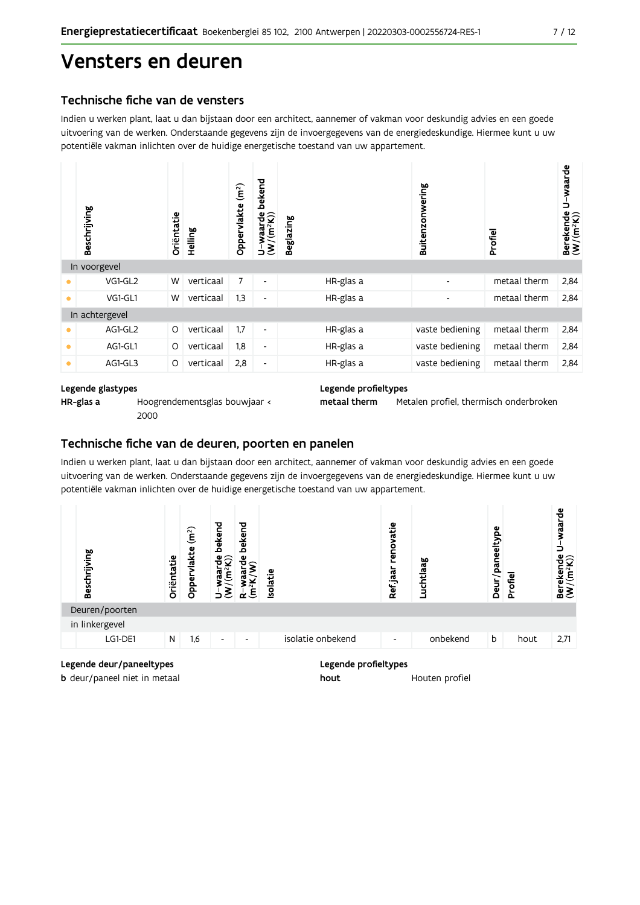## Vensters en deuren

### Technische fiche van de vensters

Indien u werken plant, laat u dan bijstaan door een architect, aannemer of vakman voor deskundig advies en een goede uitvoering van de werken. Onderstaande gegevens zijn de invoergegevens van de energiedeskundige. Hiermee kunt u uw potentiële vakman inlichten over de huidige energetische toestand van uw appartement.

|           | Beschrijving   | Oriëntatie | Helling   | (m <sup>2</sup> )<br>Oppervlakte | bekend<br>$U$ -waarde<br>(W/(m <sup>2</sup> K)) | Beglazing |           | Buitenzonwering | Profiel      | U-waarde<br>$\begin{array}{ll}\text{Berekende} \\\text{(W/(m²K))}\end{array}$ |
|-----------|----------------|------------|-----------|----------------------------------|-------------------------------------------------|-----------|-----------|-----------------|--------------|-------------------------------------------------------------------------------|
|           | In voorgevel   |            |           |                                  |                                                 |           |           |                 |              |                                                                               |
|           | VG1-GL2        | W          | verticaal | $\overline{7}$                   | $\overline{\phantom{a}}$                        |           | HR-glas a | ٠               | metaal therm | 2,84                                                                          |
| $\bullet$ | VG1-GL1        | W          | verticaal | 1,3                              | $\overline{\phantom{a}}$                        |           | HR-glas a | ٠               | metaal therm | 2,84                                                                          |
|           | In achtergevel |            |           |                                  |                                                 |           |           |                 |              |                                                                               |
|           | AG1-GL2        | O          | verticaal | 1,7                              | $\overline{\phantom{a}}$                        |           | HR-glas a | vaste bediening | metaal therm | 2,84                                                                          |
| $\bullet$ | AG1-GL1        | O          | verticaal | 1,8                              | $\overline{\phantom{a}}$                        |           | HR-glas a | vaste bediening | metaal therm | 2,84                                                                          |
| $\bullet$ | AG1-GL3        | O          | verticaal | 2,8                              | $\overline{\phantom{a}}$                        |           | HR-glas a | vaste bediening | metaal therm | 2,84                                                                          |

#### Legende glastypes

HR-glas a

Hoogrendementsglas bouwjaar < 2000

#### Legende profieltypes

metaal therm Metalen profiel, thermisch onderbroken

### Technische fiche van de deuren, poorten en panelen

Indien u werken plant, laat u dan bijstaan door een architect, aannemer of vakman voor deskundig advies en een goede uitvoering van de werken. Onderstaande gegevens zijn de invoergegevens van de energiedeskundige. Hiermee kunt u uw potentiële vakman inlichten over de huidige energetische toestand van uw appartement.



#### Legende deur/paneeltypes

**b** deur/paneel niet in metaal

#### Legende profieltypes

hout Houten profiel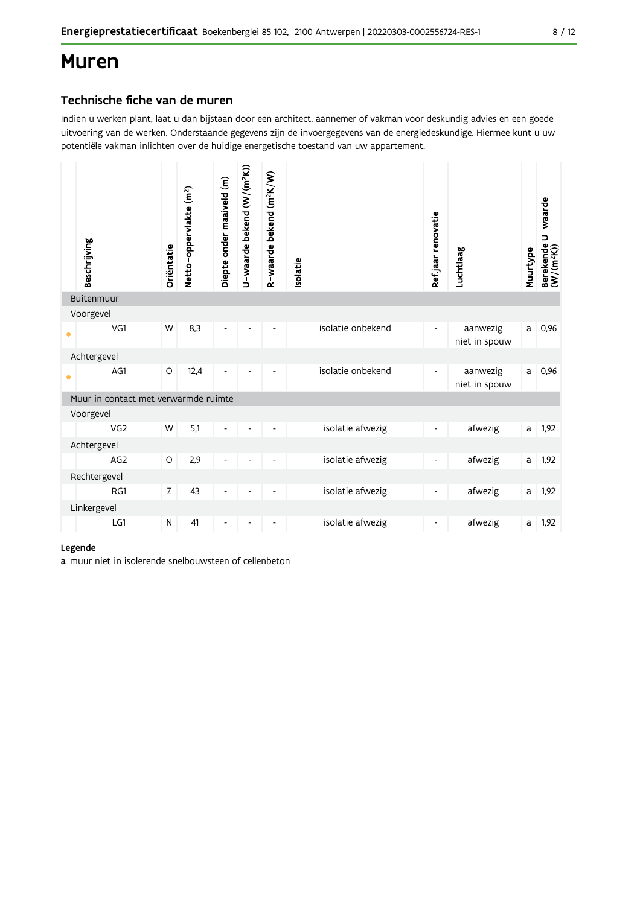## **Muren**

### Technische fiche van de muren

Indien u werken plant, laat u dan bijstaan door een architect, aannemer of vakman voor deskundig advies en een goede uitvoering van de werken. Onderstaande gegevens zijn de invoergegevens van de energiedeskundige. Hiermee kunt u uw potentiële vakman inlichten over de huidige energetische toestand van uw appartement.

|           | Beschrijving<br>Buitenmuur           | Oriëntatie | Netto-oppervlakte (m <sup>2</sup> ) | Diepte onder maaiveld (m) | U-waarde bekend (W/(m <sup>2</sup> K)) | R-waarde bekend (m <sup>2</sup> K/W) | Isolatie          | Ref.jaar renovatie       | Luchtlaag                 | Muurtype | Berekende U-waarde<br>(W/(m <sup>2</sup> K)) |
|-----------|--------------------------------------|------------|-------------------------------------|---------------------------|----------------------------------------|--------------------------------------|-------------------|--------------------------|---------------------------|----------|----------------------------------------------|
|           | Voorgevel                            |            |                                     |                           |                                        |                                      |                   |                          |                           |          |                                              |
| $\bullet$ | VG1                                  | W          | 8,3                                 | $\overline{\phantom{a}}$  | $\blacksquare$                         | $\overline{\phantom{0}}$             | isolatie onbekend | $\overline{\phantom{a}}$ | aanwezig<br>niet in spouw | a        | 0,96                                         |
|           | Achtergevel                          |            |                                     |                           |                                        |                                      |                   |                          |                           |          |                                              |
| $\bullet$ | AG1                                  | $\circ$    | 12,4                                |                           |                                        |                                      | isolatie onbekend | $\overline{\phantom{0}}$ | aanwezig<br>niet in spouw | a        | 0,96                                         |
|           | Muur in contact met verwarmde ruimte |            |                                     |                           |                                        |                                      |                   |                          |                           |          |                                              |
|           | Voorgevel                            |            |                                     |                           |                                        |                                      |                   |                          |                           |          |                                              |
|           | VG <sub>2</sub>                      | W          | 5,1                                 | $\overline{\phantom{0}}$  |                                        |                                      | isolatie afwezig  | $\overline{\phantom{0}}$ | afwezig                   | a        | 1,92                                         |
|           | Achtergevel                          |            |                                     |                           |                                        |                                      |                   |                          |                           |          |                                              |
|           | AG <sub>2</sub>                      | $\circ$    | 2,9                                 | ۰                         |                                        |                                      | isolatie afwezig  | $\overline{\phantom{a}}$ | afwezig                   | a        | 1,92                                         |
|           | Rechtergevel                         |            |                                     |                           |                                        |                                      |                   |                          |                           |          |                                              |
|           | RG1                                  | Z          | 43                                  | $\overline{\phantom{0}}$  |                                        |                                      | isolatie afwezig  | -                        | afwezig                   | a        | 1,92                                         |
|           | Linkergevel                          |            |                                     |                           |                                        |                                      |                   |                          |                           |          |                                              |
|           | LG1                                  | ${\sf N}$  | 41                                  | $\overline{\phantom{a}}$  | $\overline{\phantom{a}}$               | -                                    | isolatie afwezig  | $\overline{\phantom{a}}$ | afwezig                   | a        | 1,92                                         |

#### Legende

a muur niet in isolerende snelbouwsteen of cellenbeton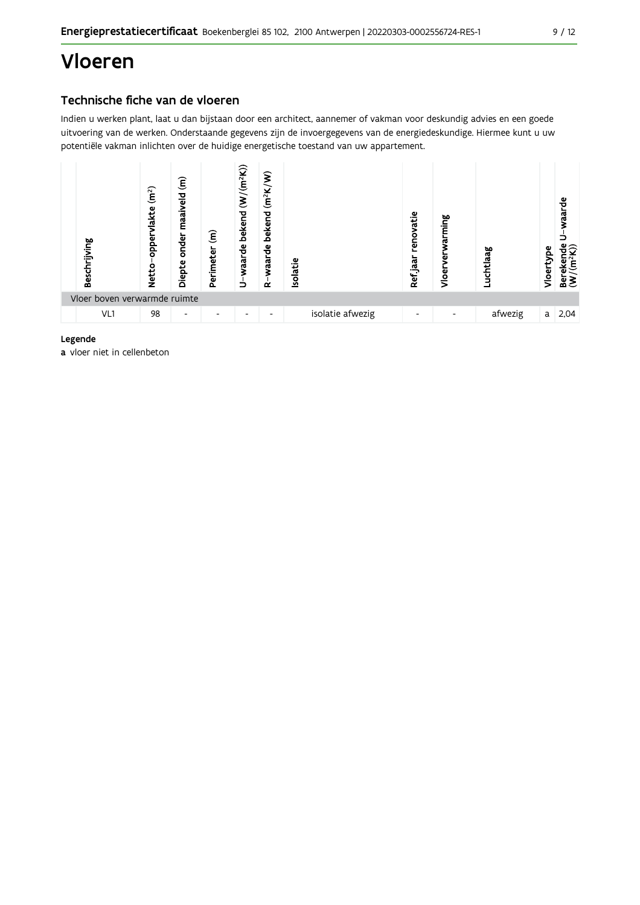## Vloeren

## Technische fiche van de vloeren

Indien u werken plant, laat u dan bijstaan door een architect, aannemer of vakman voor deskundig advies en een goede uitvoering van de werken. Onderstaande gegevens zijn de invoergegevens van de energiedeskundige. Hiermee kunt u uw potentiële vakman inlichten over de huidige energetische toestand van uw appartement.



#### Legende

a vloer niet in cellenbeton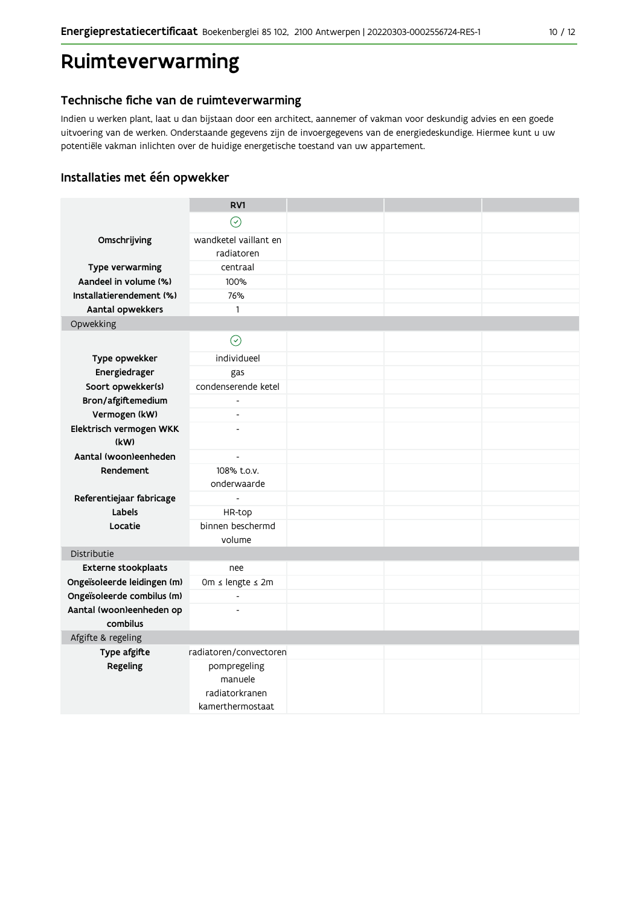## Ruimteverwarming

### Technische fiche van de ruimteverwarming

Indien u werken plant, laat u dan bijstaan door een architect, aannemer of vakman voor deskundig advies en een goede uitvoering van de werken. Onderstaande gegevens zijn de invoergegevens van de energiedeskundige. Hiermee kunt u uw potentiële vakman inlichten over de huidige energetische toestand van uw appartement.

## Installaties met één opwekker

|                                      | RV1                        |  |  |
|--------------------------------------|----------------------------|--|--|
|                                      | $\odot$                    |  |  |
| Omschrijving                         | wandketel vaillant en      |  |  |
|                                      | radiatoren                 |  |  |
| Type verwarming                      | centraal                   |  |  |
| Aandeel in volume (%)                | 100%                       |  |  |
| Installatierendement (%)             | 76%                        |  |  |
| Aantal opwekkers                     | 1                          |  |  |
| Opwekking                            |                            |  |  |
|                                      | $\odot$                    |  |  |
| Type opwekker                        | individueel                |  |  |
| Energiedrager                        | gas                        |  |  |
| Soort opwekker(s)                    | condenserende ketel        |  |  |
| Bron/afgiftemedium                   |                            |  |  |
| Vermogen (kW)                        | $\overline{a}$             |  |  |
| Elektrisch vermogen WKK              | $\overline{\phantom{a}}$   |  |  |
| (kW)                                 |                            |  |  |
| Aantal (woon)eenheden                | $\overline{a}$             |  |  |
| Rendement                            | 108% t.o.v.<br>onderwaarde |  |  |
| Referentiejaar fabricage             |                            |  |  |
| Labels                               | HR-top                     |  |  |
| Locatie                              | binnen beschermd           |  |  |
|                                      | volume                     |  |  |
| Distributie                          |                            |  |  |
| <b>Externe stookplaats</b>           | nee                        |  |  |
| Ongeïsoleerde leidingen (m)          | 0m ≤ lengte ≤ 2m           |  |  |
| Ongeïsoleerde combilus (m)           | $\frac{1}{2}$              |  |  |
| Aantal (woon)eenheden op<br>combilus | $\overline{a}$             |  |  |
| Afgifte & regeling                   |                            |  |  |
| Type afgifte                         | radiatoren/convectoren     |  |  |
| Regeling                             | pompregeling               |  |  |
|                                      | manuele                    |  |  |
|                                      | radiatorkranen             |  |  |
|                                      | kamerthermostaat           |  |  |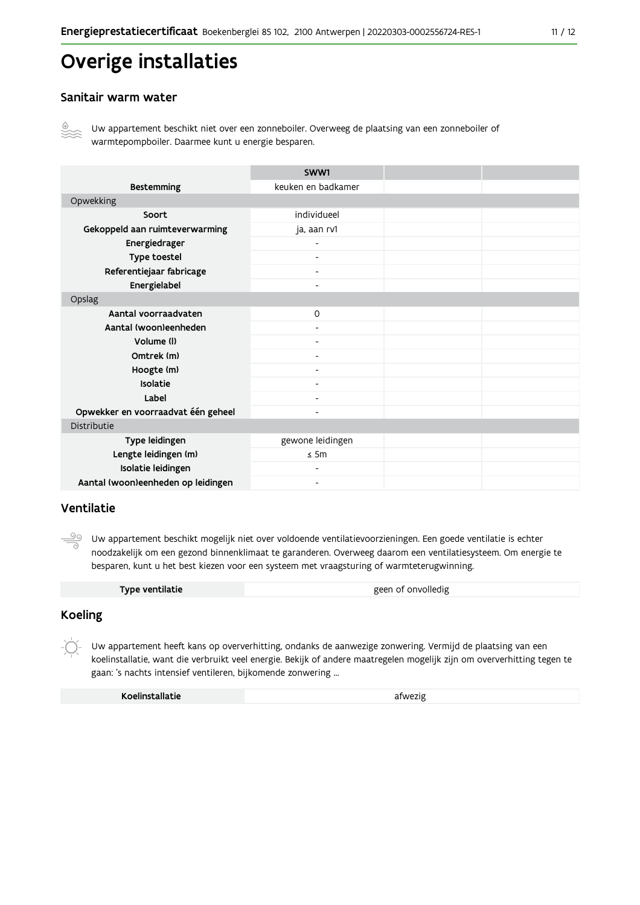## Overige installaties

#### Sanitair warm water



Uw appartement beschikt niet over een zonneboiler. Overweeg de plaatsing van een zonneboiler of warmtepompboiler. Daarmee kunt u energie besparen.

|                                    | SWW1                     |  |
|------------------------------------|--------------------------|--|
| <b>Bestemming</b>                  | keuken en badkamer       |  |
| Opwekking                          |                          |  |
| Soort                              | individueel              |  |
| Gekoppeld aan ruimteverwarming     | ja, aan rv1              |  |
| Energiedrager                      |                          |  |
| Type toestel                       |                          |  |
| Referentiejaar fabricage           | $\overline{\phantom{a}}$ |  |
| Energielabel                       | $\overline{\phantom{0}}$ |  |
| Opslag                             |                          |  |
| Aantal voorraadvaten               | $\circ$                  |  |
| Aantal (woon)eenheden              |                          |  |
| Volume (I)                         | $\overline{\phantom{0}}$ |  |
| Omtrek (m)                         |                          |  |
| Hoogte (m)                         |                          |  |
| Isolatie                           | $\overline{\phantom{0}}$ |  |
| Label                              | $\overline{\phantom{0}}$ |  |
| Opwekker en voorraadvat één geheel | $\overline{\phantom{0}}$ |  |
| Distributie                        |                          |  |
| Type leidingen                     | gewone leidingen         |  |
| Lengte leidingen (m)               | $\leq$ 5m                |  |
| Isolatie leidingen                 |                          |  |
| Aantal (woon)eenheden op leidingen |                          |  |

#### Ventilatie

99 Uw appartement beschikt mogelijk niet over voldoende ventilatievoorzieningen. Een goede ventilatie is echter noodzakelijk om een gezond binnenklimaat te garanderen. Overweeg daarom een ventilatiesysteem. Om energie te besparen, kunt u het best kiezen voor een systeem met vraagsturing of warmteterugwinning.

| Type ventilatie | geen of onvolledig |
|-----------------|--------------------|
|                 |                    |

#### **Koeling**

 $-\bigcirc$ Uw appartement heeft kans op oververhitting, ondanks de aanwezige zonwering. Vermijd de plaatsing van een koelinstallatie, want die verbruikt veel energie. Bekijk of andere maatregelen mogelijk zijn om oververhitting tegen te gaan: 's nachts intensief ventileren, bijkomende zonwering ...

| Koelinstallatie | afwezig |
|-----------------|---------|
|                 |         |